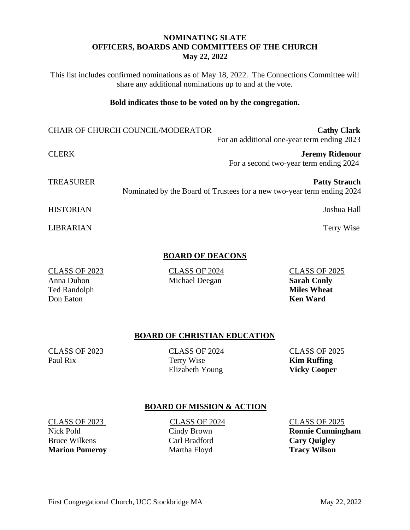# **NOMINATING SLATE OFFICERS, BOARDS AND COMMITTEES OF THE CHURCH May 22, 2022**

This list includes confirmed nominations as of May 18, 2022. The Connections Committee will share any additional nominations up to and at the vote.

## **Bold indicates those to be voted on by the congregation.**

CHAIR OF CHURCH COUNCIL/MODERATOR **Cathy Clark** For an additional one-year term ending 2023

CLERK **Jeremy Ridenour** For a second two-year term ending 2024

**TREASURER Patty Strauch Patty Strauch Patty Strauch** Nominated by the Board of Trustees for a new two-year term ending 2024

HISTORIAN Joshua Hall

LIBRARIAN Terry Wise

# **BOARD OF DEACONS**

CLASS OF 2023 CLASS OF 2024 CLASS OF 2025 Anna Duhon Michael Deegan **Sarah Conly**

# **BOARD OF CHRISTIAN EDUCATION**

CLASS OF 2023<br>
Paul Rix CLASS OF 2024<br>
Terry Wise<br>
CLASS OF 2025<br>
Kim Ruffing

**Paul Riversion Riversion Riversion Ruffing** Elizabeth Young **Vicky Cooper**

# **BOARD OF MISSION & ACTION**

CLASS OF 2023<br>
CLASS OF 2024<br>
Cindy Brown<br>
Cindy Brown<br>
Cindy Brown<br>
Cindy Brown<br>
Cindy Brown Bruce Wilkens **Carl Bradford** Carl Bradford **Cary Quigley Marion Pomeroy** Martha Floyd **Tracy Wilson** 

Nick Pohl Cindy Brown **Ronnie Cunningham**

Ted Randolph **Miles Wheat** Don Eaton **Ken Ward**